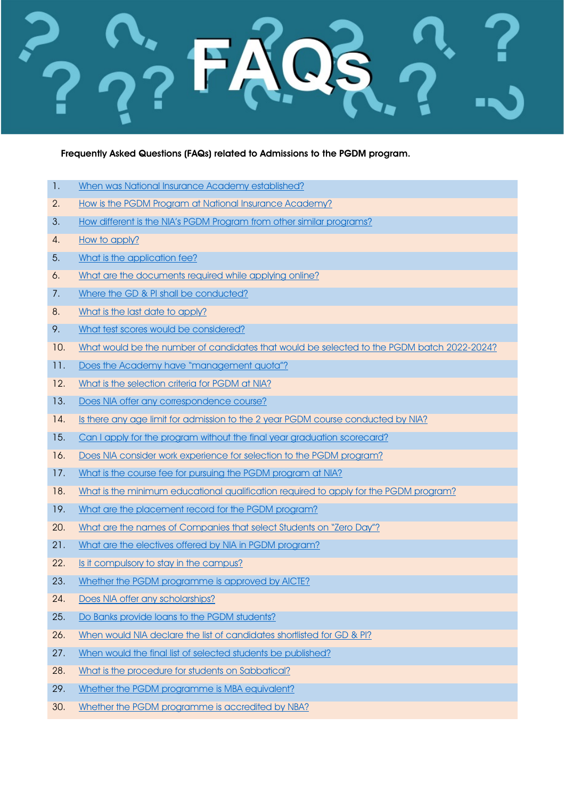Frequently Asked Questions (FAQs) related to Admissions to the PGDM program.

- 1. [When was National Insurance Academy established?](#page-1-0)
- 2. [How is the PGDM Program at National Insurance Academy?](#page-1-1)
- 3. How different is the NIA's PGDM Program from other similar programs?
- 4. [How to apply?](#page-1-3)
- 5. [What is the application fee?](#page-1-4)
- 6. [What are the documents required while applying online?](#page-1-5)
- 7. [Where the GD & PI shall be conducted?](#page-1-6)
- 8. [What is the last date to apply?](#page-1-7)
- 9. [What test scores would be considered?](#page-1-8)
- 10. [What would be the number of candidates that would be selected to the PGDM batch 2022-2024?](#page-2-0)
- 11. [Does the Academy have "management quota"?](#page-2-1)
- 12. [What is the selection criteria for PGDM at NIA?](#page-2-2)
- 13. [Does NIA offer any correspondence course?](#page-2-3)
- 14. Is there any age limit for admission to the 2 year PGDM course conducted by NIA?
- 15. [Can I apply for the program without the final year graduation scorecard?](#page-2-5)
- 16. [Does NIA consider work experience for selection to the PGDM program?](#page-2-6)
- 17. What is the course fee for pursuing the PGDM program at NIA?
- 18. What is the minimum educational qualification required to apply for the PGDM program?
- 19. [What are the placement record for the PGDM program?](#page-2-9)
- 20. [What are the names of Companies that select Students on "Zero Day"?](#page-3-0)
- 21. [What are the electives offered by NIA in PGDM program?](#page-3-1)
- 22. [Is it compulsory to stay in the campus?](#page-3-2)
- 23. [Whether the PGDM programme is approved by AICTE?](#page-3-3)
- 24. [Does NIA offer any scholarships?](#page-3-4)
- 25. [Do Banks provide loans to the PGDM students?](#page-4-0)
- 26. [When would NIA declare the list of candidates shortlisted for GD & PI?](#page-4-1)
- 27. [When would the final list of selected students be published?](#page-4-2)
- 28. [What is the procedure for students on Sabbatical?](#page-4-3)
- 29. [Whether the PGDM programme](#page-4-4) is MBA equivalent?
- 30. [Whether the PGDM programme is accredited by NBA?](#page-4-5)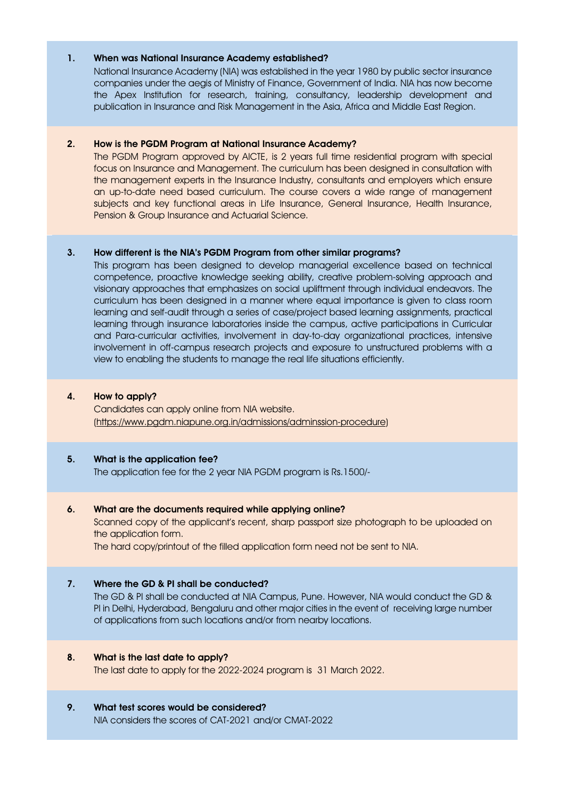### <span id="page-1-0"></span>1. When was National Insurance Academy established?

National Insurance Academy (NIA) was established in the year 1980 by public sector insurance companies under the aegis of Ministry of Finance, Government of India. NIA has now become the Apex Institution for research, training, consultancy, leadership development and publication in Insurance and Risk Management in the Asia, Africa and Middle East Region.

# <span id="page-1-1"></span>2. How is the PGDM Program at National Insurance Academy?

The PGDM Program approved by AICTE, is 2 years full time residential program with special focus on Insurance and Management. The curriculum has been designed in consultation with the management experts in the Insurance Industry, consultants and employers which ensure an up-to-date need based curriculum. The course covers a wide range of management subjects and key functional areas in Life Insurance, General Insurance, Health Insurance, Pension & Group Insurance and Actuarial Science.

### <span id="page-1-2"></span>3. How different is the NIA's PGDM Program from other similar programs?

This program has been designed to develop managerial excellence based on technical competence, proactive knowledge seeking ability, creative problem-solving approach and visionary approaches that emphasizes on social upliftment through individual endeavors. The curriculum has been designed in a manner where equal importance is given to class room learning and self-audit through a series of case/project based learning assignments, practical learning through insurance laboratories inside the campus, active participations in Curricular and Para-curricular activities, involvement in day-to-day organizational practices, intensive involvement in off-campus research projects and exposure to unstructured problems with a view to enabling the students to manage the real life situations efficiently.

### <span id="page-1-3"></span>4. How to apply?

Candidates can apply online from NIA website. [\(https://www.pgdm.niapune.org.in/admissions/adminssion-procedure\)](https://www.pgdm.niapune.org.in/admissions/adminssion-procedure)

#### <span id="page-1-4"></span>5. What is the application fee?

The application fee for the 2 year NIA PGDM program is Rs.1500/-

#### <span id="page-1-5"></span>6. What are the documents required while applying online?

Scanned copy of the applicant's recent, sharp passport size photograph to be uploaded on the application form.

The hard copy/printout of the filled application form need not be sent to NIA.

#### <span id="page-1-6"></span>7. Where the GD & PI shall be conducted?

The GD & PI shall be conducted at NIA Campus, Pune. However, NIA would conduct the GD & PI in Delhi, Hyderabad, Bengaluru and other major cities in the event of receiving large number of applications from such locations and/or from nearby locations.

#### <span id="page-1-7"></span>8. What is the last date to apply?

The last date to apply for the 2022-2024 program is 31 March 2022.

### <span id="page-1-8"></span>9. What test scores would be considered?

NIA considers the scores of CAT-2021 and/or CMAT-2022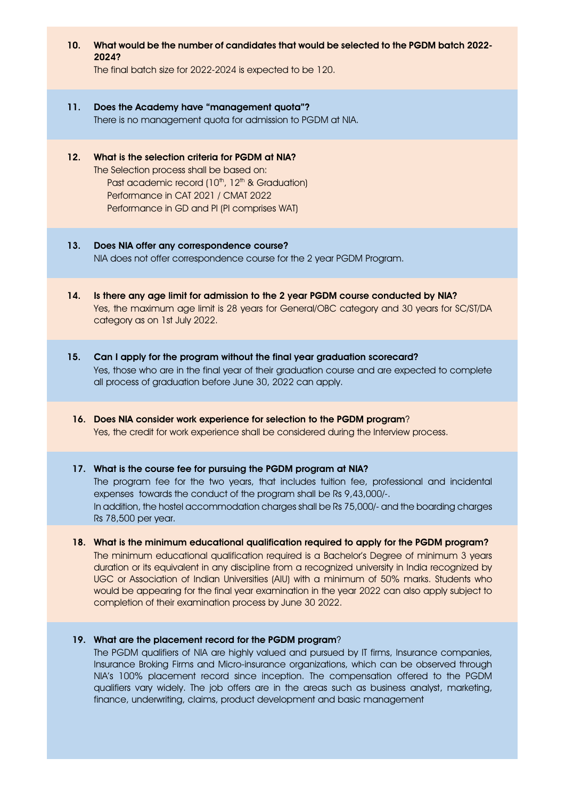# <span id="page-2-0"></span>10. What would be the number of candidates that would be selected to the PGDM batch 2022- 2024?

The final batch size for 2022-2024 is expected to be 120.

### <span id="page-2-1"></span>11. Does the Academy have "management quota"?

There is no management quota for admission to PGDM at NIA.

# <span id="page-2-2"></span>12. What is the selection criteria for PGDM at NIA? The Selection process shall be based on: Past academic record (10<sup>th</sup>, 12<sup>th</sup> & Graduation) Performance in CAT 2021 / CMAT 2022 Performance in GD and PI (PI comprises WAT)

## <span id="page-2-3"></span>13. Does NIA offer any correspondence course? NIA does not offer correspondence course for the 2 year PGDM Program.

- <span id="page-2-4"></span>14. Is there any age limit for admission to the 2 year PGDM course conducted by NIA? Yes, the maximum age limit is 28 years for General/OBC category and 30 years for SC/ST/DA category as on 1st July 2022.
- <span id="page-2-5"></span>15. Can I apply for the program without the final year graduation scorecard? Yes, those who are in the final year of their graduation course and are expected to complete all process of graduation before June 30, 2022 can apply.

# <span id="page-2-6"></span>16. Does NIA consider work experience for selection to the PGDM program? Yes, the credit for work experience shall be considered during the Interview process.

#### <span id="page-2-7"></span>17. What is the course fee for pursuing the PGDM program at NIA?

The program fee for the two years, that includes tuition fee, professional and incidental expenses towards the conduct of the program shall be Rs 9,43,000/-. In addition, the hostel accommodation charges shall be Rs 75,000/- and the boarding charges Rs 78,500 per year.

# <span id="page-2-8"></span>18. What is the minimum educational qualification required to apply for the PGDM program? The minimum educational qualification required is a Bachelor's Degree of minimum 3 years duration or its equivalent in any discipline from a recognized university in India recognized by UGC or Association of Indian Universities (AIU) with a minimum of 50% marks. Students who would be appearing for the final year examination in the year 2022 can also apply subject to completion of their examination process by June 30 2022.

#### <span id="page-2-9"></span>19. What are the placement record for the PGDM program?

The PGDM qualifiers of NIA are highly valued and pursued by IT firms, Insurance companies, Insurance Broking Firms and Micro-insurance organizations, which can be observed through NIA's 100% placement record since inception. The compensation offered to the PGDM qualifiers vary widely. The job offers are in the areas such as business analyst, marketing, finance, underwriting, claims, product development and basic management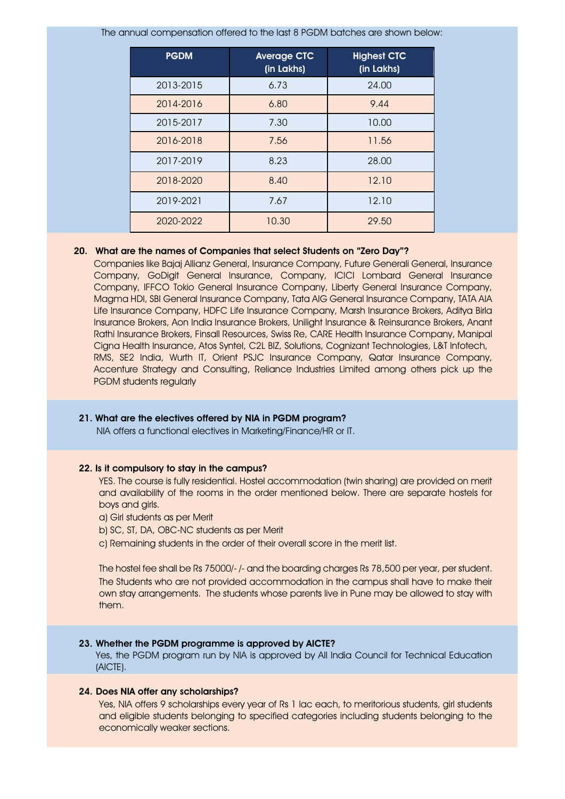The annual compensation offered to the last 8 PGDM batches are shown below:

| <b>PGDM</b> | <b>Average CTC</b><br>(in Lakhs) | <b>Highest CTC</b><br>(in Lakhs) |
|-------------|----------------------------------|----------------------------------|
| 2013-2015   | 6.73                             | 24.00                            |
| 2014-2016   | 6.80                             | 9.44                             |
| 2015-2017   | 7.30                             | 10.00                            |
| 2016-2018   | 7.56                             | 11.56                            |
| 2017-2019   | 8.23                             | 28.00                            |
| 2018-2020   | 8.40                             | 12.10                            |
| 2019-2021   | 7.67                             | 12.10                            |
| 2020-2022   | 10.30                            | 29.50                            |

#### 20. What are the names of Companies that select Students on "Zero Day"?

<span id="page-3-0"></span>Companies like Bajaj Allianz General, Insurance Company, Future Generali General, Insurance Company, GoDigit General Insurance, Company, ICICI Lombard General Insurance Company, IFFCO Tokio General Insurance Company, Liberty General Insurance Company, Magma HDI, SBI General Insurance Company, Tata AIG General Insurance Company, TATA AIA Life Insurance Company, HDFC Life Insurance Company, Marsh Insurance Brokers, Aditya Birla Insurance Brokers, Aon India Insurance Brokers, Unilight Insurance & Reinsurance Brokers, Anant Rathi Insurance Brokers, Finsall Resources, Swiss Re, CARE Health Insurance Company, Manipal Cigna Health Insurance, Atos Syntel, C2L BIZ, Solutions, Cognizant Technologies, L&T Infotech, RMS, SE2 India, Wurth IT, Orient PSJC Insurance Company, Qatar Insurance Company, Accenture Strategy and Consulting, Reliance Industries Limited among others pick up the PGDM students regularly

#### <span id="page-3-1"></span>21. What are the electives offered by NIA in PGDM program?

NIA offers a functional electives in Marketing/Finance/HR or IT.

#### <span id="page-3-2"></span>22. Is it compulsory to stay in the campus?

YES. The course is fully residential. Hostel accommodation (twin sharing) are provided on merit and availability of the rooms in the order mentioned below. There are separate hostels for boys and girls.

a) Girl students as per Merit

b) SC, ST, DA, OBC-NC students as per Merit

c) Remaining students in the order of their overall score in the merit list.

The hostel fee shall be Rs 75000/- /- and the boarding charges Rs 78,500 per year, per student. The Students who are not provided accommodation in the campus shall have to make their own stay arrangements. The students whose parents live in Pune may be allowed to stay with them.

#### <span id="page-3-3"></span>23. Whether the PGDM programme is approved by AICTE?

Yes, the PGDM program run by NIA is approved by All India Council for Technical Education (AICTE).

#### <span id="page-3-4"></span>24. Does NIA offer any scholarships?

Yes, NIA offers 9 scholarships every year of Rs 1 lac each, to meritorious students, girl students and eligible students belonging to specified categories including students belonging to the economically weaker sections.